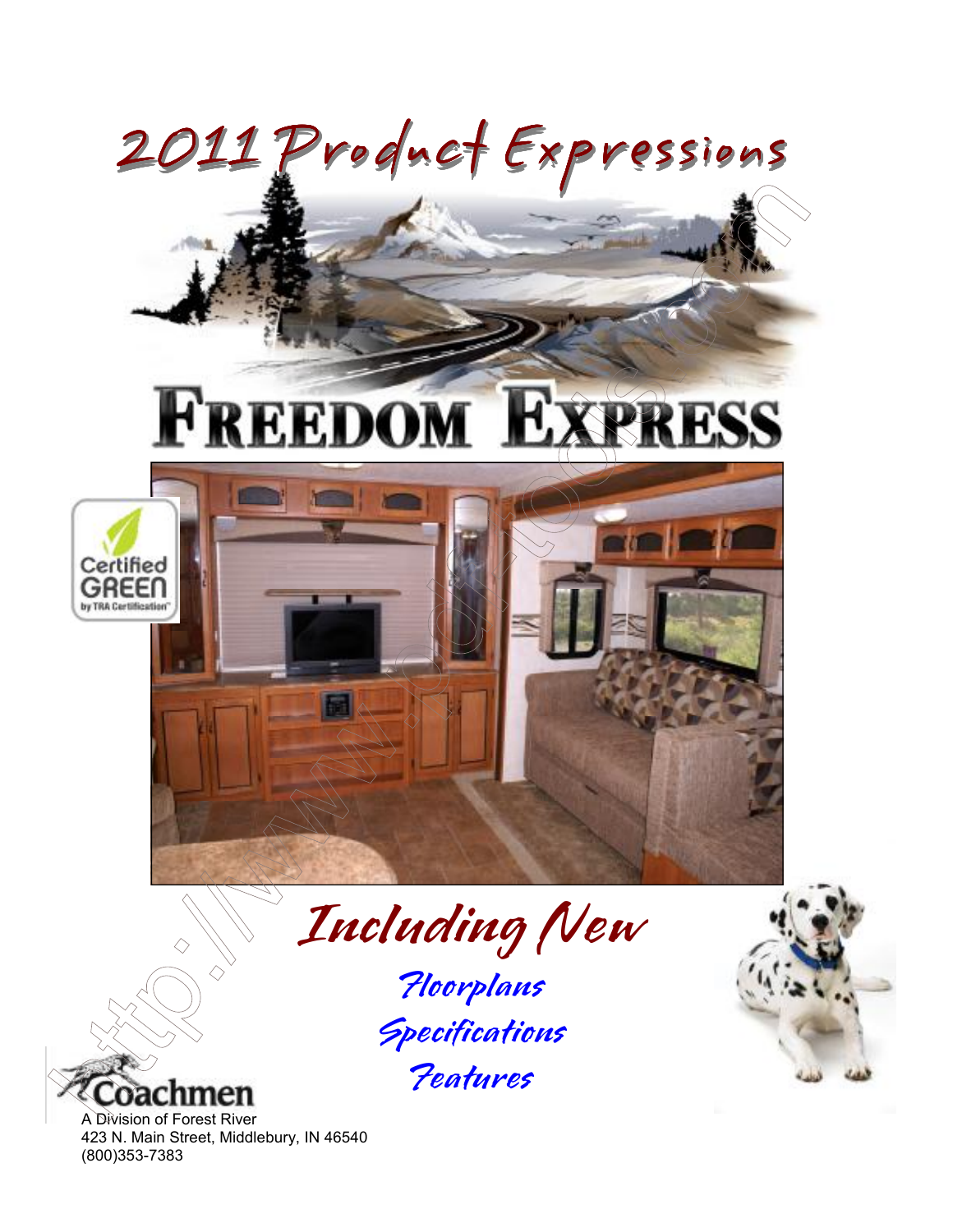



A Division of Forest River 423 N. Main Street, Middlebury, IN 46540 (800)353-7383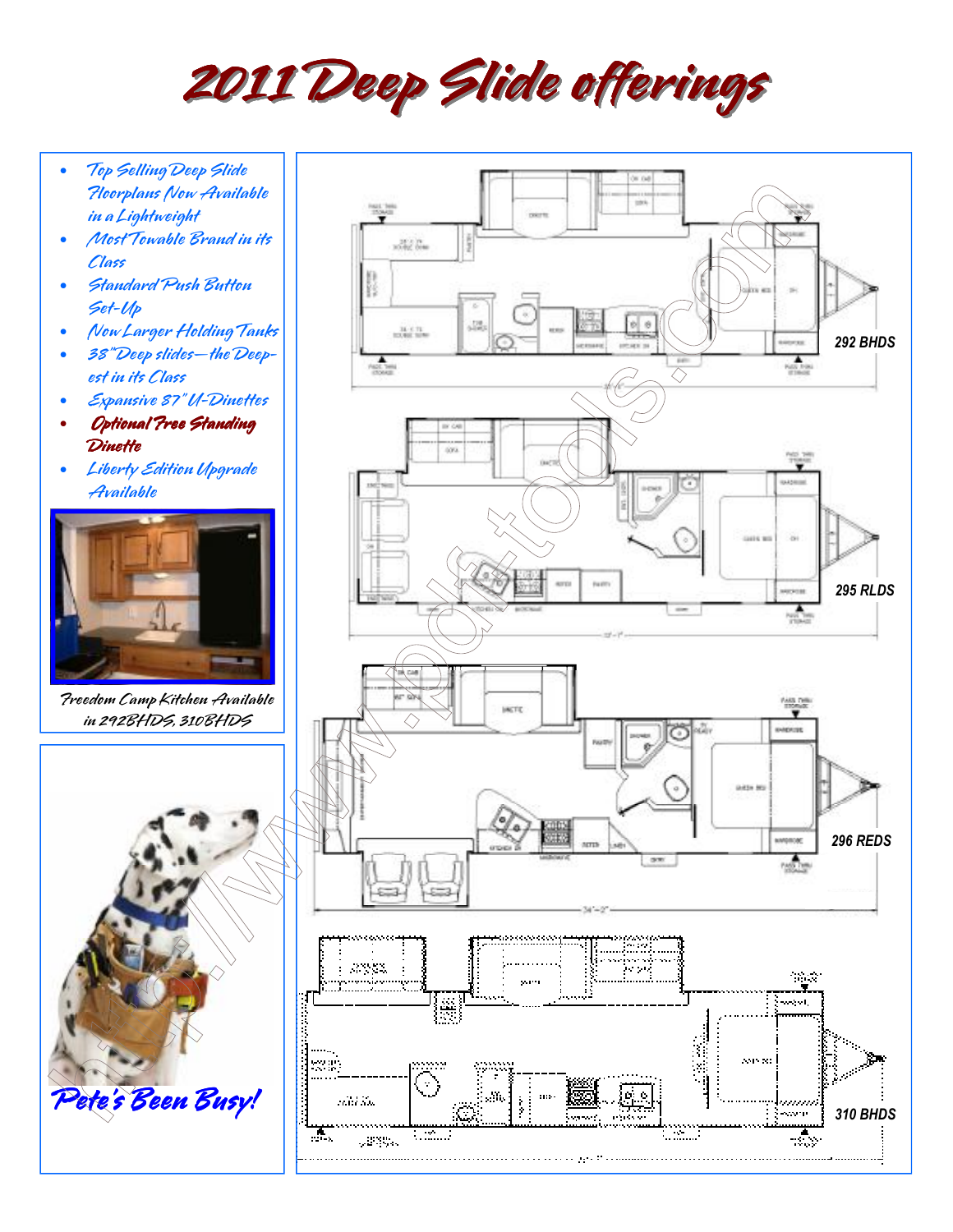2011 Deep Slide offerings

- Top Selling Deep Slide Floorplans Now Available in a Lightweight
- Most Towable Brand in its Class
- Standard Push Button Set-Up
- Now Larger Holding Tanks
- 38" Deep slides—the Deepest in its Class
- Expansive 87" U-Dinettes
- Optional Free Standing **Dinette**
- Liberty Edition Upgrade Available



Freedom Camp Kitchen Available in 292BHDS, 310BHDS



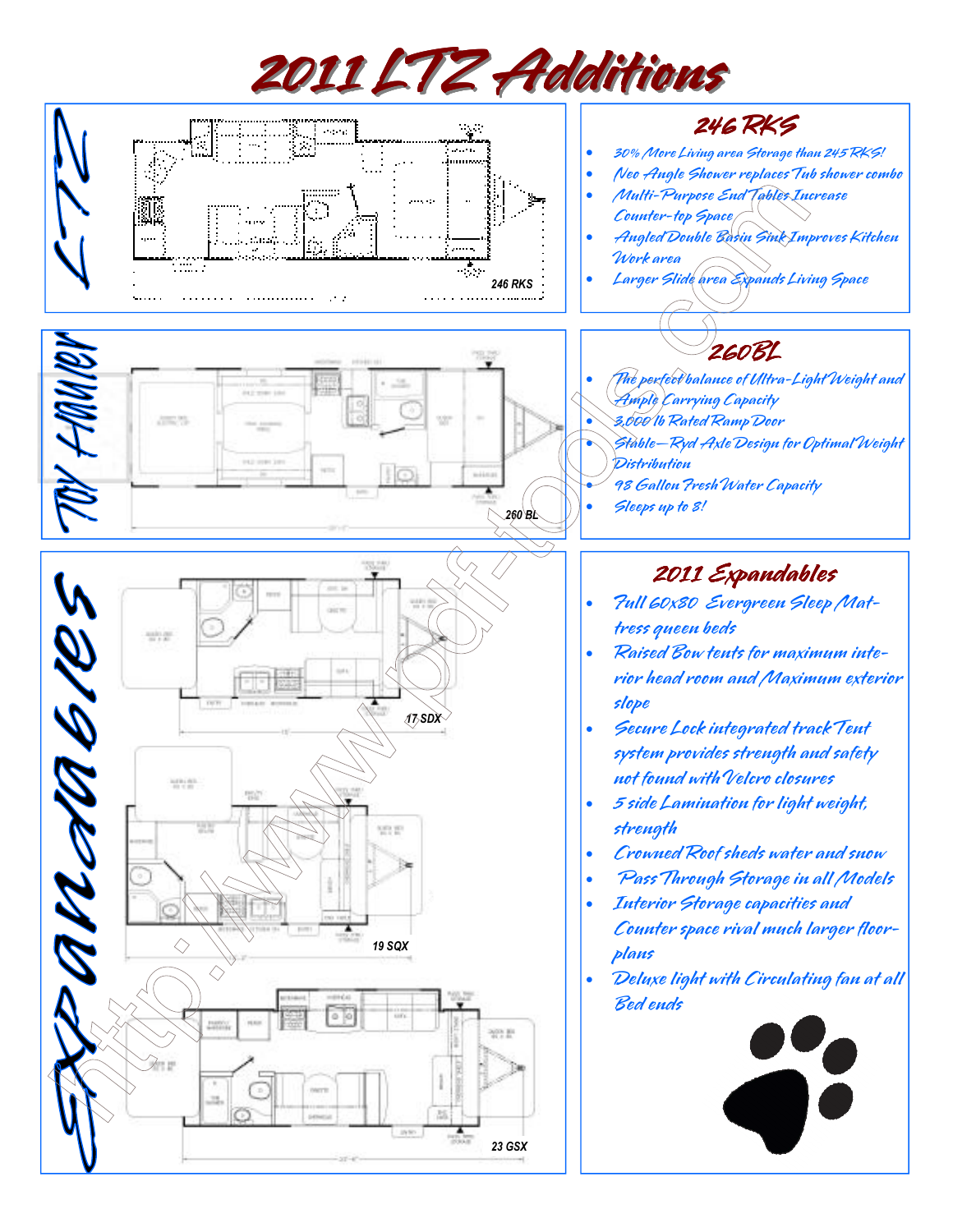